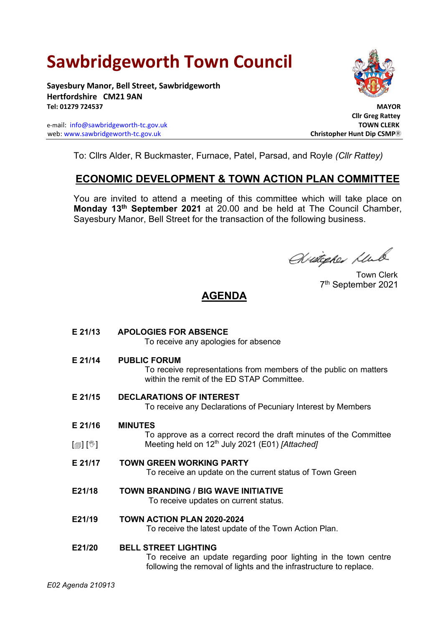# **Sawbridgeworth Town Council**

**Sayesbury Manor, Bell Street, Sawbridgeworth Hertfordshire CM21 9AN Tel: 01279 724537 MAYOR**

e-mail: [info@sawbridgeworth-tc.gov.uk](mailto:info@sawbridgeworth-tc.gov.uk) **TOWN CLERK** web: www.sawbridgeworth-tc.gov.uk **Christopher Huntipip CSMP Christopher Hunt Dip CSMP** 



 **Cllr Greg Rattey**

To: Cllrs Alder, R Buckmaster, Furnace, Patel, Parsad, and Royle *(Cllr Rattey)*

## **ECONOMIC DEVELOPMENT & TOWN ACTION PLAN COMMITTEE**

You are invited to attend a meeting of this committee which will take place on **Monday 13 th September 2021** at 20.00 and be held at The Council Chamber, Sayesbury Manor, Bell Street for the transaction of the following business.

Wietegher Lub

 Town Clerk 7 th September 2021

## **AGENDA**

| E 21/13                    | <b>APOLOGIES FOR ABSENCE</b><br>To receive any apologies for absence                                                                                                 |
|----------------------------|----------------------------------------------------------------------------------------------------------------------------------------------------------------------|
| E 21/14                    | <b>PUBLIC FORUM</b><br>To receive representations from members of the public on matters<br>within the remit of the ED STAP Committee.                                |
| E 21/15                    | <b>DECLARATIONS OF INTEREST</b><br>To receive any Declarations of Pecuniary Interest by Members                                                                      |
| E 21/16                    | <b>MINUTES</b>                                                                                                                                                       |
| $\mathbb{D}[\mathbb{D}^1]$ | To approve as a correct record the draft minutes of the Committee<br>Meeting held on $12^{th}$ July 2021 (E01) [Attached]                                            |
| E 21/17                    | <b>TOWN GREEN WORKING PARTY</b><br>To receive an update on the current status of Town Green                                                                          |
| E21/18                     | <b>TOWN BRANDING / BIG WAVE INITIATIVE</b><br>To receive updates on current status.                                                                                  |
| E21/19                     | <b>TOWN ACTION PLAN 2020-2024</b><br>To receive the latest update of the Town Action Plan.                                                                           |
| E21/20                     | <b>BELL STREET LIGHTING</b><br>To receive an update regarding poor lighting in the town centre<br>following the removal of lights and the infrastructure to replace. |